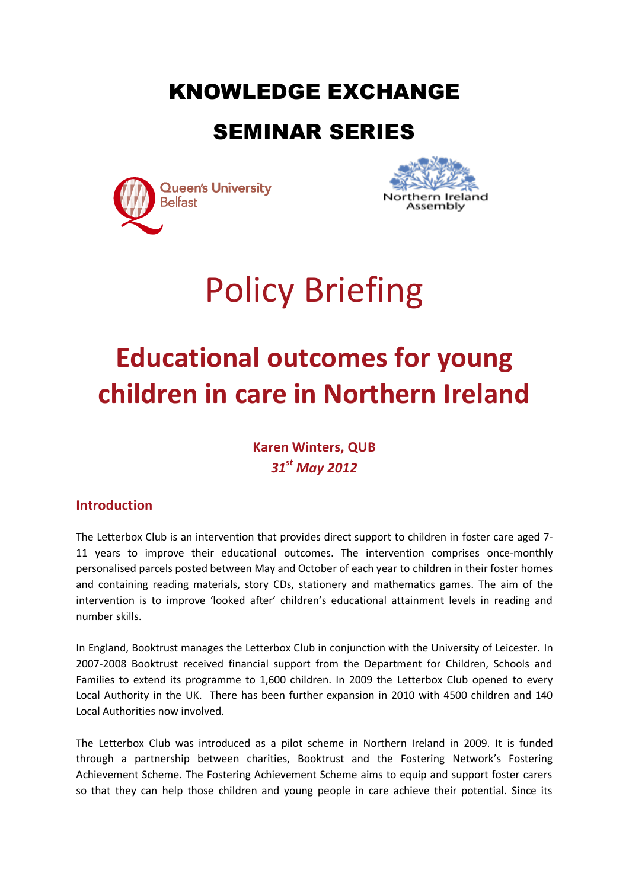## KNOWLEDGE EXCHANGE

### SEMINAR SERIES





# Policy Briefing

## **Educational outcomes for young children in care in Northern Ireland**

**Karen Winters, QUB** *31st May 2012*

#### **Introduction**

The Letterbox Club is an intervention that provides direct support to children in foster care aged 7- 11 years to improve their educational outcomes. The intervention comprises once-monthly personalised parcels posted between May and October of each year to children in their foster homes and containing reading materials, story CDs, stationery and mathematics games. The aim of the intervention is to improve 'looked after' children's educational attainment levels in reading and number skills.

In England, Booktrust manages the Letterbox Club in conjunction with the University of Leicester. In 2007-2008 Booktrust received financial support from the Department for Children, Schools and Families to extend its programme to 1,600 children. In 2009 the Letterbox Club opened to every Local Authority in the UK. There has been further expansion in 2010 with 4500 children and 140 Local Authorities now involved.

The Letterbox Club was introduced as a pilot scheme in Northern Ireland in 2009. It is funded through a partnership between charities, Booktrust and the Fostering Network's Fostering Achievement Scheme. The Fostering Achievement Scheme aims to equip and support foster carers so that they can help those children and young people in care achieve their potential. Since its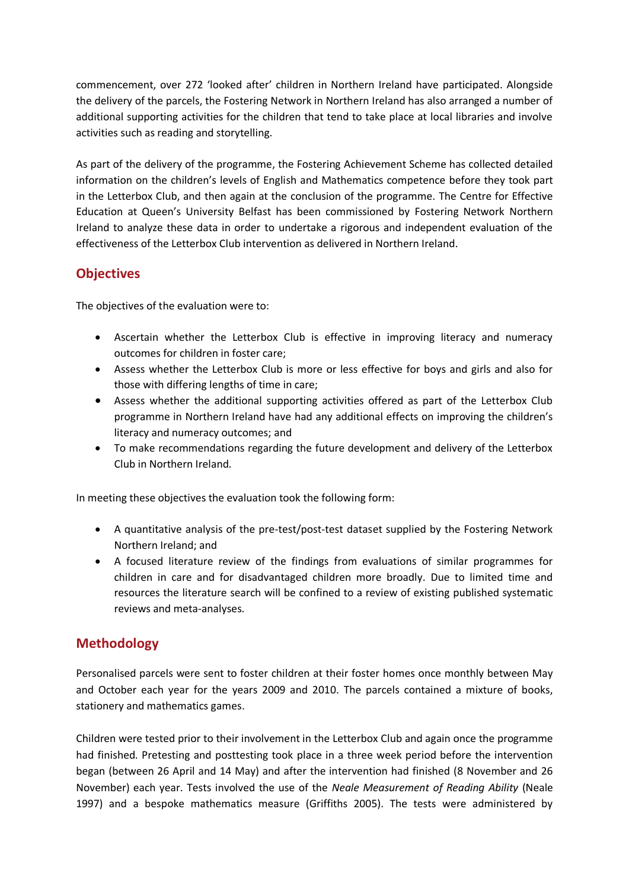commencement, over 272 'looked after' children in Northern Ireland have participated. Alongside the delivery of the parcels, the Fostering Network in Northern Ireland has also arranged a number of additional supporting activities for the children that tend to take place at local libraries and involve activities such as reading and storytelling.

As part of the delivery of the programme, the Fostering Achievement Scheme has collected detailed information on the children's levels of English and Mathematics competence before they took part in the Letterbox Club, and then again at the conclusion of the programme. The Centre for Effective Education at Queen's University Belfast has been commissioned by Fostering Network Northern Ireland to analyze these data in order to undertake a rigorous and independent evaluation of the effectiveness of the Letterbox Club intervention as delivered in Northern Ireland.

#### **Objectives**

The objectives of the evaluation were to:

- Ascertain whether the Letterbox Club is effective in improving literacy and numeracy outcomes for children in foster care;
- Assess whether the Letterbox Club is more or less effective for boys and girls and also for those with differing lengths of time in care;
- Assess whether the additional supporting activities offered as part of the Letterbox Club programme in Northern Ireland have had any additional effects on improving the children's literacy and numeracy outcomes; and
- To make recommendations regarding the future development and delivery of the Letterbox Club in Northern Ireland.

In meeting these objectives the evaluation took the following form:

- A quantitative analysis of the pre-test/post-test dataset supplied by the Fostering Network Northern Ireland; and
- A focused literature review of the findings from evaluations of similar programmes for children in care and for disadvantaged children more broadly. Due to limited time and resources the literature search will be confined to a review of existing published systematic reviews and meta-analyses.

#### **Methodology**

Personalised parcels were sent to foster children at their foster homes once monthly between May and October each year for the years 2009 and 2010. The parcels contained a mixture of books, stationery and mathematics games.

Children were tested prior to their involvement in the Letterbox Club and again once the programme had finished. Pretesting and posttesting took place in a three week period before the intervention began (between 26 April and 14 May) and after the intervention had finished (8 November and 26 November) each year. Tests involved the use of the *Neale Measurement of Reading Ability* (Neale 1997) and a bespoke mathematics measure (Griffiths 2005). The tests were administered by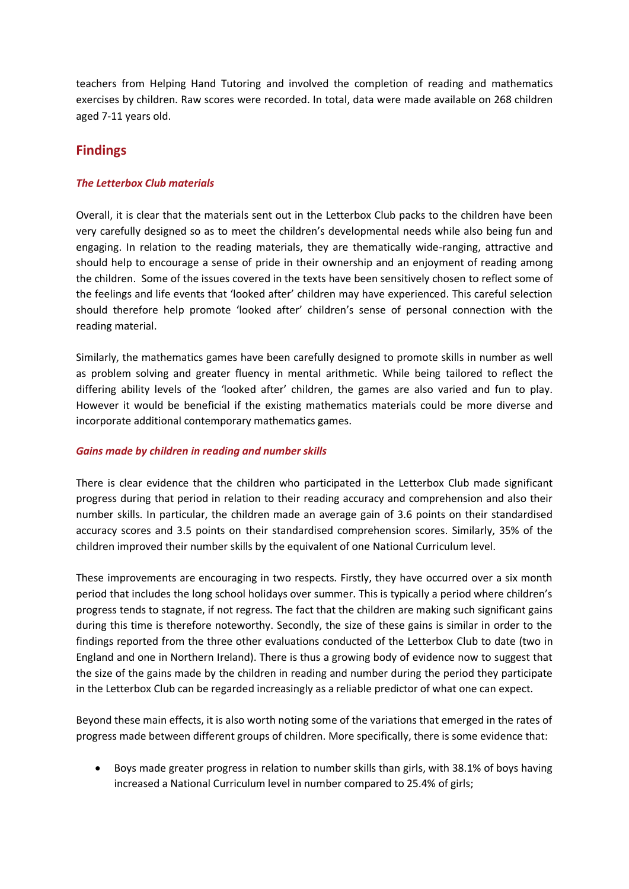teachers from Helping Hand Tutoring and involved the completion of reading and mathematics exercises by children. Raw scores were recorded. In total, data were made available on 268 children aged 7-11 years old.

#### **Findings**

#### *The Letterbox Club materials*

Overall, it is clear that the materials sent out in the Letterbox Club packs to the children have been very carefully designed so as to meet the children's developmental needs while also being fun and engaging. In relation to the reading materials, they are thematically wide-ranging, attractive and should help to encourage a sense of pride in their ownership and an enjoyment of reading among the children. Some of the issues covered in the texts have been sensitively chosen to reflect some of the feelings and life events that 'looked after' children may have experienced. This careful selection should therefore help promote 'looked after' children's sense of personal connection with the reading material.

Similarly, the mathematics games have been carefully designed to promote skills in number as well as problem solving and greater fluency in mental arithmetic. While being tailored to reflect the differing ability levels of the 'looked after' children, the games are also varied and fun to play. However it would be beneficial if the existing mathematics materials could be more diverse and incorporate additional contemporary mathematics games.

#### *Gains made by children in reading and number skills*

There is clear evidence that the children who participated in the Letterbox Club made significant progress during that period in relation to their reading accuracy and comprehension and also their number skills. In particular, the children made an average gain of 3.6 points on their standardised accuracy scores and 3.5 points on their standardised comprehension scores. Similarly, 35% of the children improved their number skills by the equivalent of one National Curriculum level.

These improvements are encouraging in two respects. Firstly, they have occurred over a six month period that includes the long school holidays over summer. This is typically a period where children's progress tends to stagnate, if not regress. The fact that the children are making such significant gains during this time is therefore noteworthy. Secondly, the size of these gains is similar in order to the findings reported from the three other evaluations conducted of the Letterbox Club to date (two in England and one in Northern Ireland). There is thus a growing body of evidence now to suggest that the size of the gains made by the children in reading and number during the period they participate in the Letterbox Club can be regarded increasingly as a reliable predictor of what one can expect.

Beyond these main effects, it is also worth noting some of the variations that emerged in the rates of progress made between different groups of children. More specifically, there is some evidence that:

 Boys made greater progress in relation to number skills than girls, with 38.1% of boys having increased a National Curriculum level in number compared to 25.4% of girls;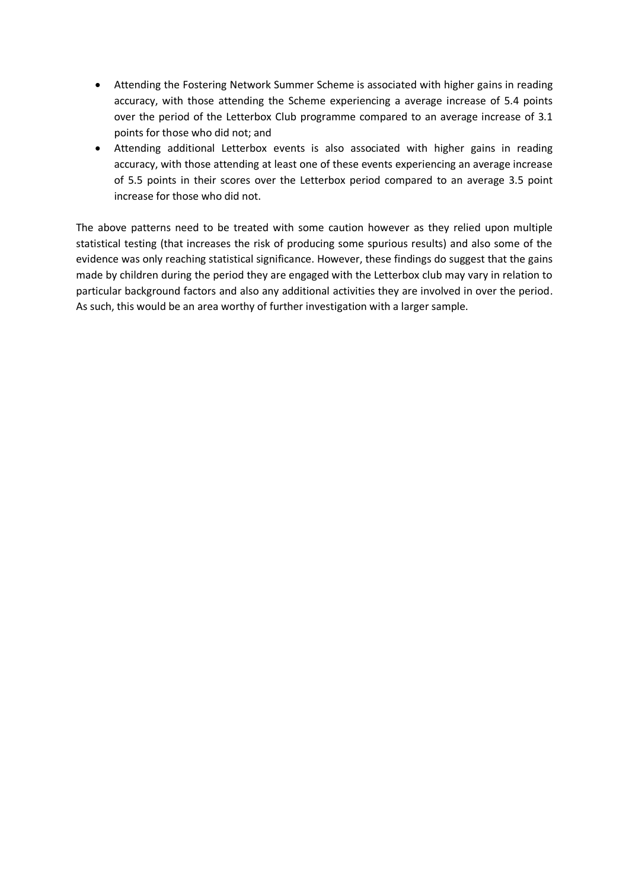- Attending the Fostering Network Summer Scheme is associated with higher gains in reading accuracy, with those attending the Scheme experiencing a average increase of 5.4 points over the period of the Letterbox Club programme compared to an average increase of 3.1 points for those who did not; and
- Attending additional Letterbox events is also associated with higher gains in reading accuracy, with those attending at least one of these events experiencing an average increase of 5.5 points in their scores over the Letterbox period compared to an average 3.5 point increase for those who did not.

The above patterns need to be treated with some caution however as they relied upon multiple statistical testing (that increases the risk of producing some spurious results) and also some of the evidence was only reaching statistical significance. However, these findings do suggest that the gains made by children during the period they are engaged with the Letterbox club may vary in relation to particular background factors and also any additional activities they are involved in over the period. As such, this would be an area worthy of further investigation with a larger sample.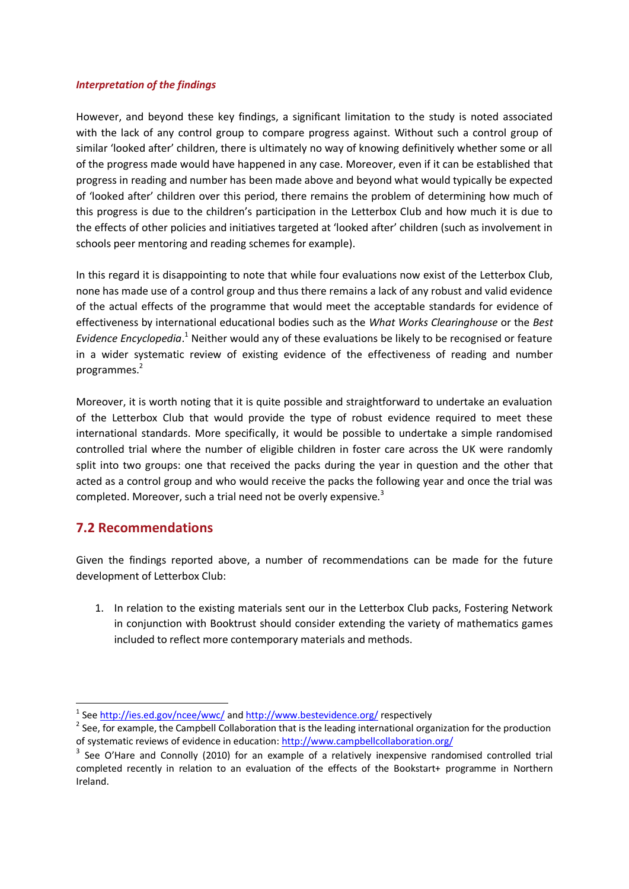#### *Interpretation of the findings*

However, and beyond these key findings, a significant limitation to the study is noted associated with the lack of any control group to compare progress against. Without such a control group of similar 'looked after' children, there is ultimately no way of knowing definitively whether some or all of the progress made would have happened in any case. Moreover, even if it can be established that progress in reading and number has been made above and beyond what would typically be expected of 'looked after' children over this period, there remains the problem of determining how much of this progress is due to the children's participation in the Letterbox Club and how much it is due to the effects of other policies and initiatives targeted at 'looked after' children (such as involvement in schools peer mentoring and reading schemes for example).

In this regard it is disappointing to note that while four evaluations now exist of the Letterbox Club, none has made use of a control group and thus there remains a lack of any robust and valid evidence of the actual effects of the programme that would meet the acceptable standards for evidence of effectiveness by international educational bodies such as the *What Works Clearinghouse* or the *Best*  Evidence Encyclopedia.<sup>1</sup> Neither would any of these evaluations be likely to be recognised or feature in a wider systematic review of existing evidence of the effectiveness of reading and number programmes.<sup>2</sup>

Moreover, it is worth noting that it is quite possible and straightforward to undertake an evaluation of the Letterbox Club that would provide the type of robust evidence required to meet these international standards. More specifically, it would be possible to undertake a simple randomised controlled trial where the number of eligible children in foster care across the UK were randomly split into two groups: one that received the packs during the year in question and the other that acted as a control group and who would receive the packs the following year and once the trial was completed. Moreover, such a trial need not be overly expensive.<sup>3</sup>

#### **7.2 Recommendations**

Given the findings reported above, a number of recommendations can be made for the future development of Letterbox Club:

1. In relation to the existing materials sent our in the Letterbox Club packs, Fostering Network in conjunction with Booktrust should consider extending the variety of mathematics games included to reflect more contemporary materials and methods.

<sup>-&</sup>lt;br><sup>1</sup> See <u>http://ies.ed.gov/ncee/wwc/</u> and <u>http://www.bestevidence.org/</u> respectively

 $2$  See, for example, the Campbell Collaboration that is the leading international organization for the production of systematic reviews of evidence in education[: http://www.campbellcollaboration.org/](http://www.campbellcollaboration.org/)

<sup>&</sup>lt;sup>3</sup> See O'Hare and Connolly (2010) for an example of a relatively inexpensive randomised controlled trial completed recently in relation to an evaluation of the effects of the Bookstart+ programme in Northern Ireland.